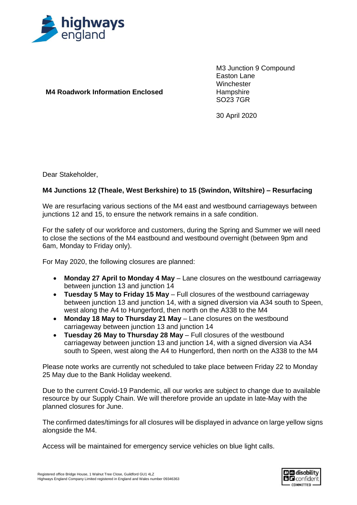

**M4 Roadwork Information Enclosed**

M3 Junction 9 Compound Easton Lane **Winchester Hampshire** SO23 7GR

30 April 2020

Dear Stakeholder,

## **M4 Junctions 12 (Theale, West Berkshire) to 15 (Swindon, Wiltshire) – Resurfacing**

We are resurfacing various sections of the M4 east and westbound carriageways between junctions 12 and 15, to ensure the network remains in a safe condition.

For the safety of our workforce and customers, during the Spring and Summer we will need to close the sections of the M4 eastbound and westbound overnight (between 9pm and 6am, Monday to Friday only).

For May 2020, the following closures are planned:

- **Monday 27 April to Monday 4 May** Lane closures on the westbound carriageway between junction 13 and junction 14
- **Tuesday 5 May to Friday 15 May** Full closures of the westbound carriageway between junction 13 and junction 14, with a signed diversion via A34 south to Speen, west along the A4 to Hungerford, then north on the A338 to the M4
- **Monday 18 May to Thursday 21 May** Lane closures on the westbound carriageway between junction 13 and junction 14
- **Tuesday 26 May to Thursday 28 May** Full closures of the westbound carriageway between junction 13 and junction 14, with a signed diversion via A34 south to Speen, west along the A4 to Hungerford, then north on the A338 to the M4

Please note works are currently not scheduled to take place between Friday 22 to Monday 25 May due to the Bank Holiday weekend.

Due to the current Covid-19 Pandemic, all our works are subject to change due to available resource by our Supply Chain. We will therefore provide an update in late-May with the planned closures for June.

The confirmed dates/timings for all closures will be displayed in advance on large yellow signs alongside the M4.

Access will be maintained for emergency service vehicles on blue light calls.